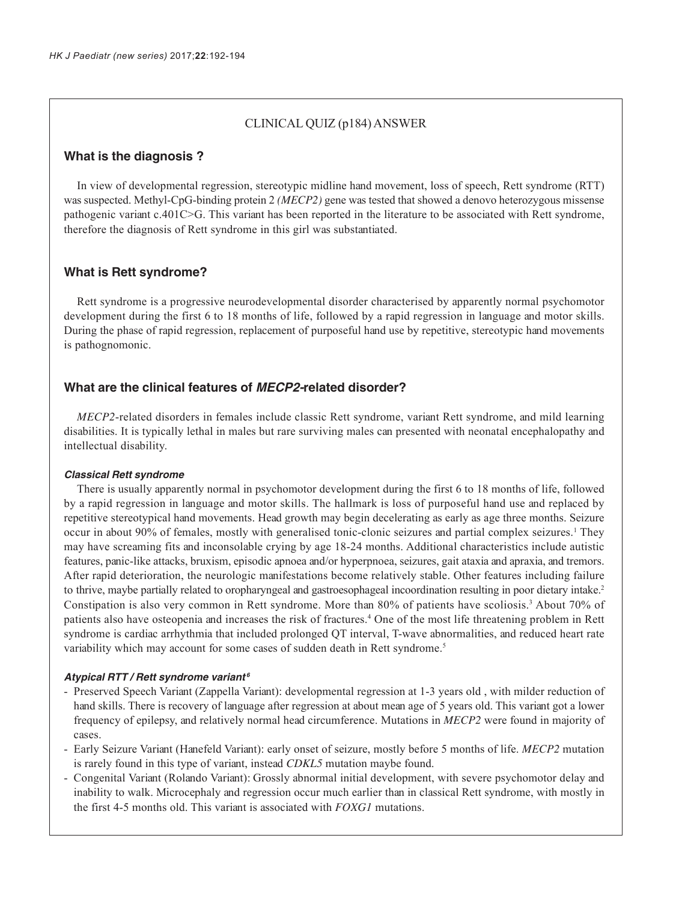## CLINICAL QUIZ (p184) ANSWER

## **What is the diagnosis ?**

In view of developmental regression, stereotypic midline hand movement, loss of speech, Rett syndrome (RTT) was suspected. Methyl-CpG-binding protein 2 *(MECP2)* gene was tested that showed a denovo heterozygous missense pathogenic variant c.401C>G. This variant has been reported in the literature to be associated with Rett syndrome, therefore the diagnosis of Rett syndrome in this girl was substantiated.

## **What is Rett syndrome?**

Rett syndrome is a progressive neurodevelopmental disorder characterised by apparently normal psychomotor development during the first 6 to 18 months of life, followed by a rapid regression in language and motor skills. During the phase of rapid regression, replacement of purposeful hand use by repetitive, stereotypic hand movements is pathognomonic.

## **What are the clinical features of MECP2-related disorder?**

*MECP2*-related disorders in females include classic Rett syndrome, variant Rett syndrome, and mild learning disabilities. It is typically lethal in males but rare surviving males can presented with neonatal encephalopathy and intellectual disability.

#### **Classical Rett syndrome**

There is usually apparently normal in psychomotor development during the first 6 to 18 months of life, followed by a rapid regression in language and motor skills. The hallmark is loss of purposeful hand use and replaced by repetitive stereotypical hand movements. Head growth may begin decelerating as early as age three months. Seizure occur in about 90% of females, mostly with generalised tonic-clonic seizures and partial complex seizures.<sup>1</sup> They may have screaming fits and inconsolable crying by age 18-24 months. Additional characteristics include autistic features, panic-like attacks, bruxism, episodic apnoea and/or hyperpnoea, seizures, gait ataxia and apraxia, and tremors. After rapid deterioration, the neurologic manifestations become relatively stable. Other features including failure to thrive, maybe partially related to oropharyngeal and gastroesophageal incoordination resulting in poor dietary intake.<sup>2</sup> Constipation is also very common in Rett syndrome. More than 80% of patients have scoliosis.<sup>3</sup> About 70% of patients also have osteopenia and increases the risk of fractures.4 One of the most life threatening problem in Rett syndrome is cardiac arrhythmia that included prolonged QT interval, T-wave abnormalities, and reduced heart rate variability which may account for some cases of sudden death in Rett syndrome.<sup>5</sup>

#### **Atypical RTT / Rett syndrome variant<sup>6</sup>**

- Preserved Speech Variant (Zappella Variant): developmental regression at 1-3 years old , with milder reduction of hand skills. There is recovery of language after regression at about mean age of 5 years old. This variant got a lower frequency of epilepsy, and relatively normal head circumference. Mutations in *MECP2* were found in majority of cases.
- Early Seizure Variant (Hanefeld Variant): early onset of seizure, mostly before 5 months of life. *MECP2* mutation is rarely found in this type of variant, instead *CDKL5* mutation maybe found.
- Congenital Variant (Rolando Variant): Grossly abnormal initial development, with severe psychomotor delay and inability to walk. Microcephaly and regression occur much earlier than in classical Rett syndrome, with mostly in the first 4-5 months old. This variant is associated with *FOXG1* mutations.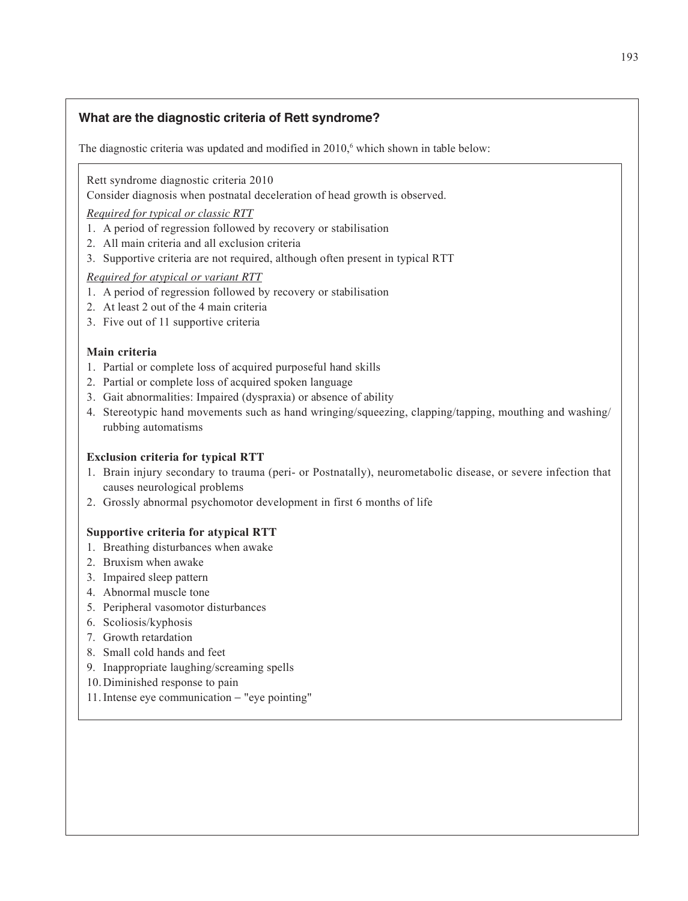# **What are the diagnostic criteria of Rett syndrome?**

The diagnostic criteria was updated and modified in  $2010$ , which shown in table below:

Rett syndrome diagnostic criteria 2010

Consider diagnosis when postnatal deceleration of head growth is observed.

*Required for typical or classic RTT*

- 1. A period of regression followed by recovery or stabilisation
- 2. All main criteria and all exclusion criteria
- 3. Supportive criteria are not required, although often present in typical RTT

### *Required for atypical or variant RTT*

- 1. A period of regression followed by recovery or stabilisation
- 2. At least 2 out of the 4 main criteria
- 3. Five out of 11 supportive criteria

### **Main criteria**

- 1. Partial or complete loss of acquired purposeful hand skills
- 2. Partial or complete loss of acquired spoken language
- 3. Gait abnormalities: Impaired (dyspraxia) or absence of ability
- 4. Stereotypic hand movements such as hand wringing/squeezing, clapping/tapping, mouthing and washing/ rubbing automatisms

#### **Exclusion criteria for typical RTT**

- 1. Brain injury secondary to trauma (peri- or Postnatally), neurometabolic disease, or severe infection that causes neurological problems
- 2. Grossly abnormal psychomotor development in first 6 months of life

#### **Supportive criteria for atypical RTT**

- 1. Breathing disturbances when awake
- 2. Bruxism when awake
- 3. Impaired sleep pattern
- 4. Abnormal muscle tone
- 5. Peripheral vasomotor disturbances
- 6. Scoliosis/kyphosis
- 7. Growth retardation
- 8. Small cold hands and feet
- 9. Inappropriate laughing/screaming spells
- 10. Diminished response to pain
- 11. Intense eye communication − "eye pointing"